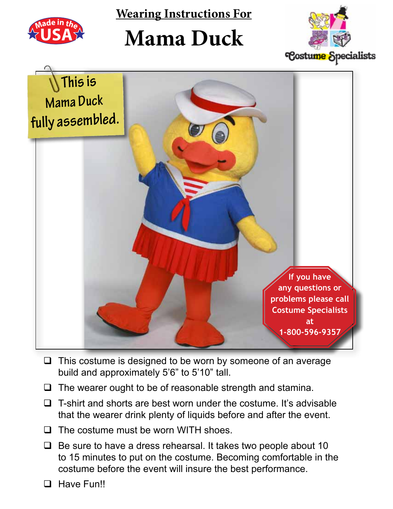

**Wearing Instructions For**

## **Mama Duck**





- $\Box$  This costume is designed to be worn by someone of an average build and approximately 5'6" to 5'10" tall.
- $\Box$  The wearer ought to be of reasonable strength and stamina.
- $\Box$  T-shirt and shorts are best worn under the costume. It's advisable that the wearer drink plenty of liquids before and after the event.
- $\Box$  The costume must be worn WITH shoes.
- $\Box$  Be sure to have a dress rehearsal. It takes two people about 10 to 15 minutes to put on the costume. Becoming comfortable in the costume before the event will insure the best performance.
- **Q** Have Fun!!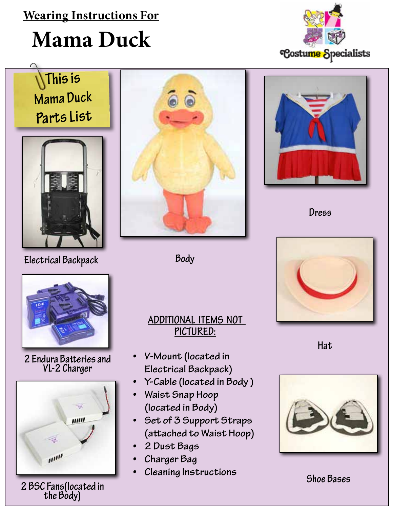### **Wearing Instructions For**

# **Mama Duck**





**Electrical Backpack**



**Body**





**Dress**



**Hat**



**2 Endura Batteries and VL-2 Charger**



**Examing inservations**<br>2 BSC Fans(located in the Body)<br>the Body)

#### **Additional Items not Pictured:**

- **• V-Mount (located in Electrical Backpack)**
- **• Y-Cable (located in Body )**
- **• Waist Snap Hoop (located in Body)**
- **• Set of 3 Support Straps (attached to Waist Hoop)**
- **• 2 Dust Bags**
- **• Charger Bag**
- **• Cleaning Instructions**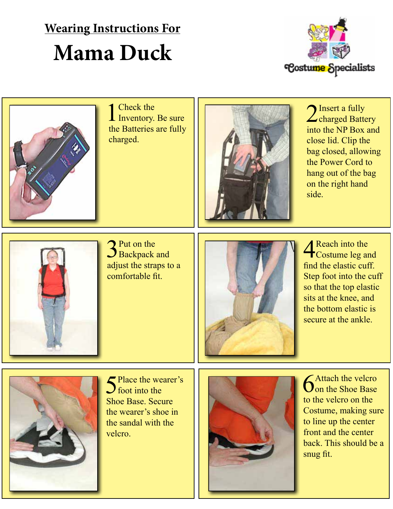### **Wearing Instructions For Mama Duck**





1 Check the Inventory. Be sure the Batteries are fully charged.



2 Insert a fully<br>charged Battery into the NP Box and close lid. Clip the bag closed, allowing the Power Cord to hang out of the bag on the right hand side.



3<sup>Put on the</sup><br>Backpack and adjust the straps to a comfortable fit.



**4** Reach into the Costume leg and find the elastic cuff. Step foot into the cuff so that the top elastic sits at the knee, and the bottom elastic is secure at the ankle.



Place the wearer's  $\int$  foot into the Shoe Base. Secure the wearer's shoe in the sandal with the velcro.



**6**Attach the velcro<br>
on the Shoe Base to the velcro on the Costume, making sure to line up the center front and the center back. This should be a snug fit.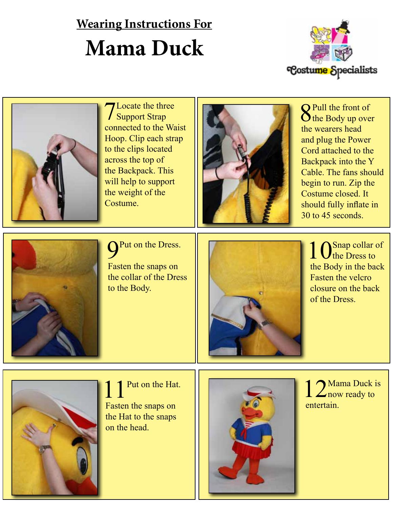### **Wearing Instructions For Mama Duck**





**7** Locate the three Support Strap connected to the Waist Hoop. Clip each strap to the clips located across the top of the Backpack. This will help to support the weight of the Costume.



8Pull the front of the Body up over the wearers head and plug the Power Cord attached to the Backpack into the Y Cable. The fans should begin to run. Zip the Costume closed. It should fully inflate in 30 to 45 seconds.



Put on the Dress.

Fasten the snaps on the collar of the Dress to the Body.



1 Osnap collar of the Body in the back Fasten the velcro closure on the back of the Dress.



Put on the Hat. Fasten the snaps on the Hat to the snaps on the head.



1 2 Mama Duck is entertain.